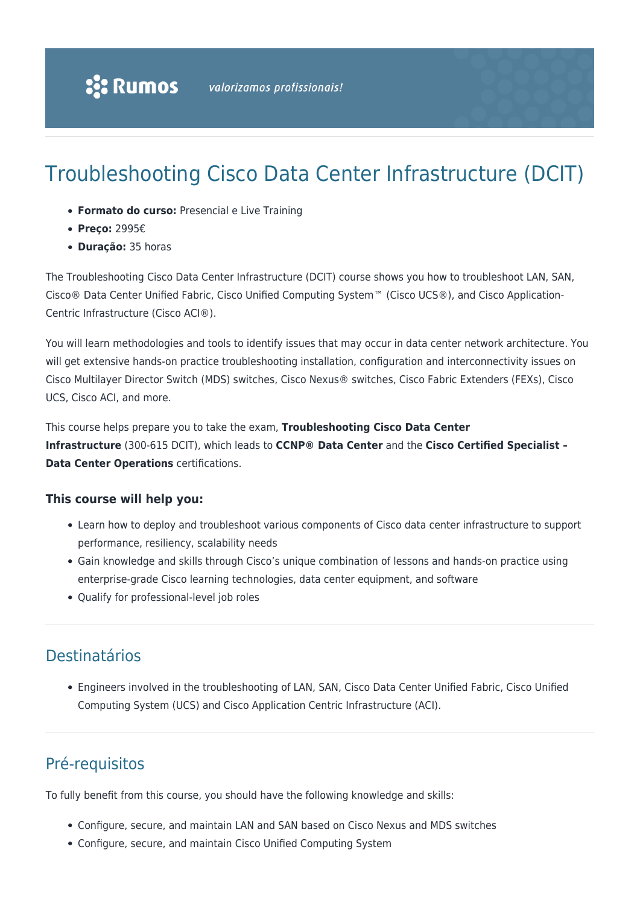# Troubleshooting Cisco Data Center Infrastructure (DCIT)

- **Formato do curso:** Presencial e Live Training
- **Preço:** 2995€
- **Duração:** 35 horas

The Troubleshooting Cisco Data Center Infrastructure (DCIT) course shows you how to troubleshoot LAN, SAN, Cisco® Data Center Unified Fabric, Cisco Unified Computing System™ (Cisco UCS®), and Cisco Application-Centric Infrastructure (Cisco ACI®).

You will learn methodologies and tools to identify issues that may occur in data center network architecture. You will get extensive hands-on practice troubleshooting installation, configuration and interconnectivity issues on Cisco Multilayer Director Switch (MDS) switches, Cisco Nexus® switches, Cisco Fabric Extenders (FEXs), Cisco UCS, Cisco ACI, and more.

This course helps prepare you to take the exam, **Troubleshooting Cisco Data Center Infrastructure** (300-615 DCIT), which leads to **CCNP® Data Center** and the **Cisco Certified Specialist – Data Center Operations** certifications.

#### **This course will help you:**

- Learn how to deploy and troubleshoot various components of Cisco data center infrastructure to support performance, resiliency, scalability needs
- Gain knowledge and skills through Cisco's unique combination of lessons and hands-on practice using enterprise-grade Cisco learning technologies, data center equipment, and software
- Qualify for professional-level job roles

### Destinatários

Engineers involved in the troubleshooting of LAN, SAN, Cisco Data Center Unified Fabric, Cisco Unified Computing System (UCS) and Cisco Application Centric Infrastructure (ACI).

# Pré-requisitos

To fully benefit from this course, you should have the following knowledge and skills:

- Configure, secure, and maintain LAN and SAN based on Cisco Nexus and MDS switches
- Configure, secure, and maintain Cisco Unified Computing System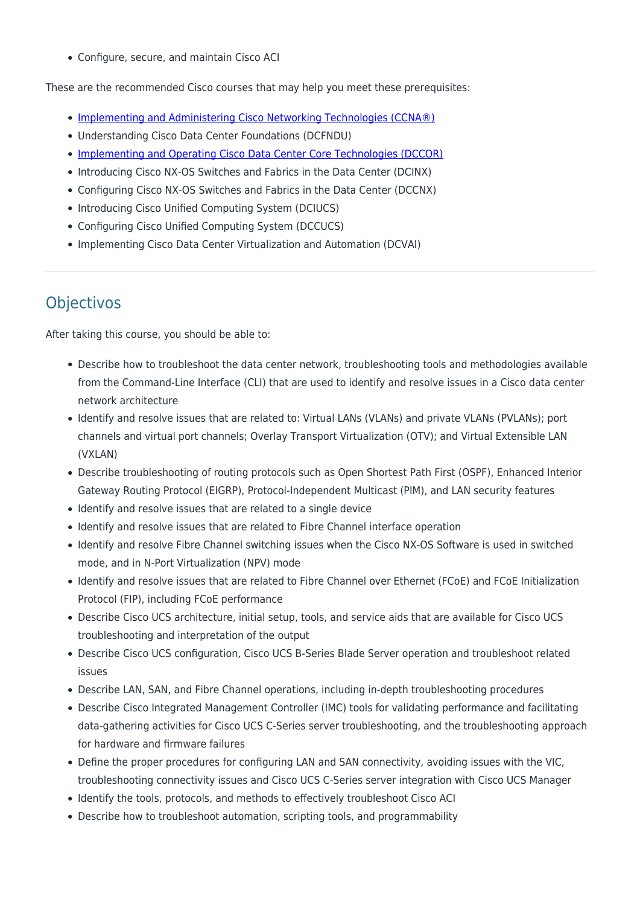Configure, secure, and maintain Cisco ACI

These are the recommended Cisco courses that may help you meet these prerequisites:

- [Implementing and Administering Cisco Networking Technologies \(CCNA®\)](https://rumos.pt/curso/implementing-and-administering-cisco-solutions-ccna-presencial/)
- Understanding Cisco Data Center Foundations (DCFNDU)
- [Implementing and Operating Cisco Data Center Core Technologies \(DCCOR\)](https://rumos.pt/curso/implementing-and-operating-cisco-data-center-core-technologies-dccor-presencial/)
- Introducing Cisco NX-OS Switches and Fabrics in the Data Center (DCINX)
- Configuring Cisco NX-OS Switches and Fabrics in the Data Center (DCCNX)
- Introducing Cisco Unified Computing System (DCIUCS)
- Configuring Cisco Unified Computing System (DCCUCS)
- Implementing Cisco Data Center Virtualization and Automation (DCVAI)

# **Objectivos**

After taking this course, you should be able to:

- Describe how to troubleshoot the data center network, troubleshooting tools and methodologies available from the Command-Line Interface (CLI) that are used to identify and resolve issues in a Cisco data center network architecture
- Identify and resolve issues that are related to: Virtual LANs (VLANs) and private VLANs (PVLANs); port channels and virtual port channels; Overlay Transport Virtualization (OTV); and Virtual Extensible LAN (VXLAN)
- Describe troubleshooting of routing protocols such as Open Shortest Path First (OSPF), Enhanced Interior Gateway Routing Protocol (EIGRP), Protocol-Independent Multicast (PIM), and LAN security features
- Identify and resolve issues that are related to a single device
- Identify and resolve issues that are related to Fibre Channel interface operation
- Identify and resolve Fibre Channel switching issues when the Cisco NX-OS Software is used in switched mode, and in N-Port Virtualization (NPV) mode
- Identify and resolve issues that are related to Fibre Channel over Ethernet (FCoE) and FCoE Initialization Protocol (FIP), including FCoE performance
- Describe Cisco UCS architecture, initial setup, tools, and service aids that are available for Cisco UCS troubleshooting and interpretation of the output
- Describe Cisco UCS configuration, Cisco UCS B-Series Blade Server operation and troubleshoot related issues
- Describe LAN, SAN, and Fibre Channel operations, including in-depth troubleshooting procedures
- Describe Cisco Integrated Management Controller (IMC) tools for validating performance and facilitating data-gathering activities for Cisco UCS C-Series server troubleshooting, and the troubleshooting approach for hardware and firmware failures
- Define the proper procedures for configuring LAN and SAN connectivity, avoiding issues with the VIC, troubleshooting connectivity issues and Cisco UCS C-Series server integration with Cisco UCS Manager
- Identify the tools, protocols, and methods to effectively troubleshoot Cisco ACI
- Describe how to troubleshoot automation, scripting tools, and programmability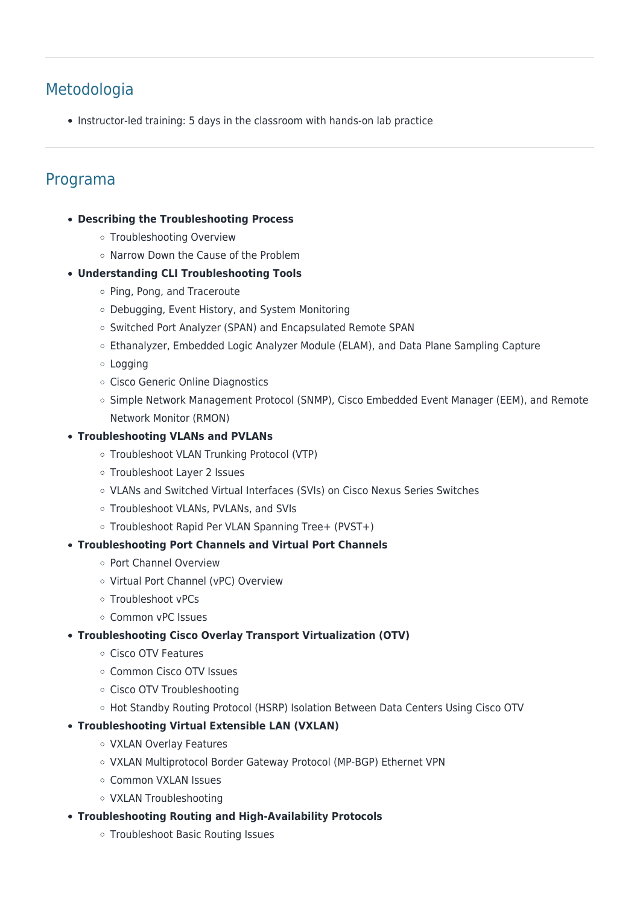### Metodologia

• Instructor-led training: 5 days in the classroom with hands-on lab practice

### Programa

- **Describing the Troubleshooting Process**
	- o Troubleshooting Overview
	- o Narrow Down the Cause of the Problem
- **Understanding CLI Troubleshooting Tools**
	- o Ping, Pong, and Traceroute
	- Debugging, Event History, and System Monitoring
	- o Switched Port Analyzer (SPAN) and Encapsulated Remote SPAN
	- Ethanalyzer, Embedded Logic Analyzer Module (ELAM), and Data Plane Sampling Capture
	- Logging
	- o Cisco Generic Online Diagnostics
	- Simple Network Management Protocol (SNMP), Cisco Embedded Event Manager (EEM), and Remote Network Monitor (RMON)

#### **Troubleshooting VLANs and PVLANs**

- Troubleshoot VLAN Trunking Protocol (VTP)
- o Troubleshoot Layer 2 Issues
- VLANs and Switched Virtual Interfaces (SVIs) on Cisco Nexus Series Switches
- o Troubleshoot VLANs, PVLANs, and SVIs
- Troubleshoot Rapid Per VLAN Spanning Tree+ (PVST+)

#### **Troubleshooting Port Channels and Virtual Port Channels**

- Port Channel Overview
- o Virtual Port Channel (vPC) Overview
- Troubleshoot vPCs
- Common vPC Issues
- **Troubleshooting Cisco Overlay Transport Virtualization (OTV)**
	- Cisco OTV Features
	- Common Cisco OTV Issues
	- Cisco OTV Troubleshooting
	- Hot Standby Routing Protocol (HSRP) Isolation Between Data Centers Using Cisco OTV

#### **Troubleshooting Virtual Extensible LAN (VXLAN)**

- VXLAN Overlay Features
- VXLAN Multiprotocol Border Gateway Protocol (MP-BGP) Ethernet VPN
- Common VXLAN Issues
- VXLAN Troubleshooting
- **Troubleshooting Routing and High-Availability Protocols**
	- Troubleshoot Basic Routing Issues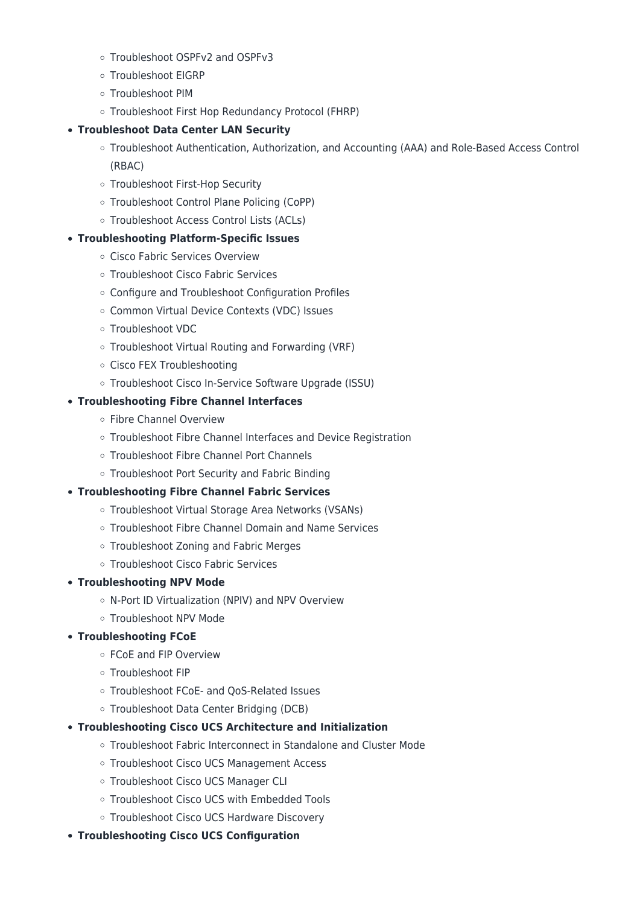- Troubleshoot OSPFv2 and OSPFv3
- Troubleshoot EIGRP
- Troubleshoot PIM
- Troubleshoot First Hop Redundancy Protocol (FHRP)

#### **Troubleshoot Data Center LAN Security**

- Troubleshoot Authentication, Authorization, and Accounting (AAA) and Role-Based Access Control (RBAC)
- Troubleshoot First-Hop Security
- Troubleshoot Control Plane Policing (CoPP)
- Troubleshoot Access Control Lists (ACLs)

#### **Troubleshooting Platform-Specific Issues**

- Cisco Fabric Services Overview
- Troubleshoot Cisco Fabric Services
- Configure and Troubleshoot Configuration Profiles
- o Common Virtual Device Contexts (VDC) Issues
- Troubleshoot VDC
- Troubleshoot Virtual Routing and Forwarding (VRF)
- Cisco FEX Troubleshooting
- Troubleshoot Cisco In-Service Software Upgrade (ISSU)

#### **Troubleshooting Fibre Channel Interfaces**

- Fibre Channel Overview
- o Troubleshoot Fibre Channel Interfaces and Device Registration
- Troubleshoot Fibre Channel Port Channels
- Troubleshoot Port Security and Fabric Binding

#### **Troubleshooting Fibre Channel Fabric Services**

- Troubleshoot Virtual Storage Area Networks (VSANs)
- Troubleshoot Fibre Channel Domain and Name Services
- Troubleshoot Zoning and Fabric Merges
- Troubleshoot Cisco Fabric Services

#### **Troubleshooting NPV Mode**

- N-Port ID Virtualization (NPIV) and NPV Overview
- Troubleshoot NPV Mode

#### **Troubleshooting FCoE**

- FCoE and FIP Overview
- o Troubleshoot FIP
- Troubleshoot FCoE- and QoS-Related Issues
- Troubleshoot Data Center Bridging (DCB)

#### **Troubleshooting Cisco UCS Architecture and Initialization**

- Troubleshoot Fabric Interconnect in Standalone and Cluster Mode
- Troubleshoot Cisco UCS Management Access
- Troubleshoot Cisco UCS Manager CLI
- Troubleshoot Cisco UCS with Embedded Tools
- Troubleshoot Cisco UCS Hardware Discovery
- **Troubleshooting Cisco UCS Configuration**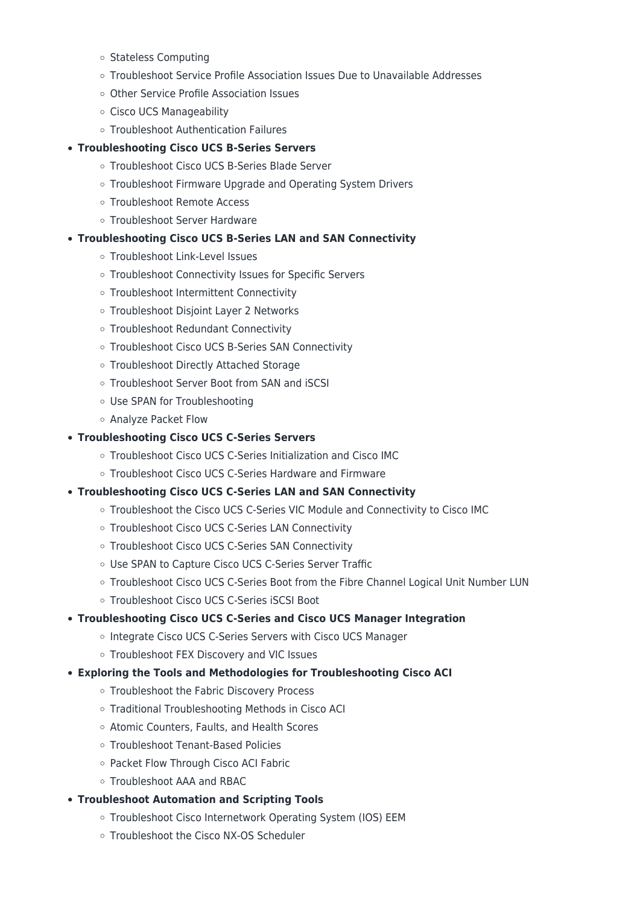- o Stateless Computing
- Troubleshoot Service Profile Association Issues Due to Unavailable Addresses
- Other Service Profile Association Issues
- o Cisco UCS Manageability
- Troubleshoot Authentication Failures

#### **Troubleshooting Cisco UCS B-Series Servers**

- Troubleshoot Cisco UCS B-Series Blade Server
- Troubleshoot Firmware Upgrade and Operating System Drivers
- Troubleshoot Remote Access
- Troubleshoot Server Hardware

#### **Troubleshooting Cisco UCS B-Series LAN and SAN Connectivity**

- Troubleshoot Link-Level Issues
- Troubleshoot Connectivity Issues for Specific Servers
- Troubleshoot Intermittent Connectivity
- o Troubleshoot Disjoint Layer 2 Networks
- Troubleshoot Redundant Connectivity
- Troubleshoot Cisco UCS B-Series SAN Connectivity
- Troubleshoot Directly Attached Storage
- Troubleshoot Server Boot from SAN and iSCSI
- Use SPAN for Troubleshooting
- Analyze Packet Flow

#### **Troubleshooting Cisco UCS C-Series Servers**

- Troubleshoot Cisco UCS C-Series Initialization and Cisco IMC
- Troubleshoot Cisco UCS C-Series Hardware and Firmware

#### **Troubleshooting Cisco UCS C-Series LAN and SAN Connectivity**

- Troubleshoot the Cisco UCS C-Series VIC Module and Connectivity to Cisco IMC
- o Troubleshoot Cisco UCS C-Series LAN Connectivity
- Troubleshoot Cisco UCS C-Series SAN Connectivity
- Use SPAN to Capture Cisco UCS C-Series Server Traffic
- Troubleshoot Cisco UCS C-Series Boot from the Fibre Channel Logical Unit Number LUN
- Troubleshoot Cisco UCS C-Series iSCSI Boot

#### **Troubleshooting Cisco UCS C-Series and Cisco UCS Manager Integration**

- o Integrate Cisco UCS C-Series Servers with Cisco UCS Manager
- Troubleshoot FEX Discovery and VIC Issues

#### **Exploring the Tools and Methodologies for Troubleshooting Cisco ACI**

- Troubleshoot the Fabric Discovery Process
- Traditional Troubleshooting Methods in Cisco ACI
- Atomic Counters, Faults, and Health Scores
- Troubleshoot Tenant-Based Policies
- Packet Flow Through Cisco ACI Fabric
- Troubleshoot AAA and RBAC
- **Troubleshoot Automation and Scripting Tools**
	- Troubleshoot Cisco Internetwork Operating System (IOS) EEM
	- Troubleshoot the Cisco NX-OS Scheduler